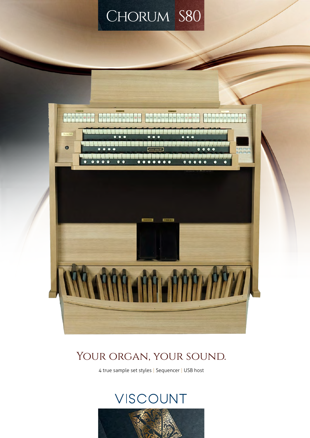# CHORUM S80



### YOUR ORGAN, YOUR SOUND.

4 true sample set styles | Sequencer | USB host

## VISCOUNT